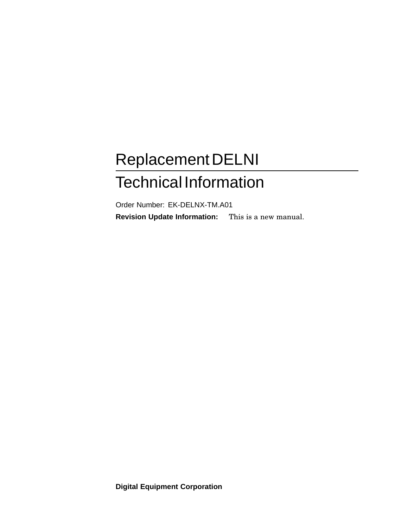# ReplacementDELNI Technical Information

Order Number: EK-DELNX-TM.A01 **Revision Update Information:** This is a new manual.

**Digital Equipment Corporation**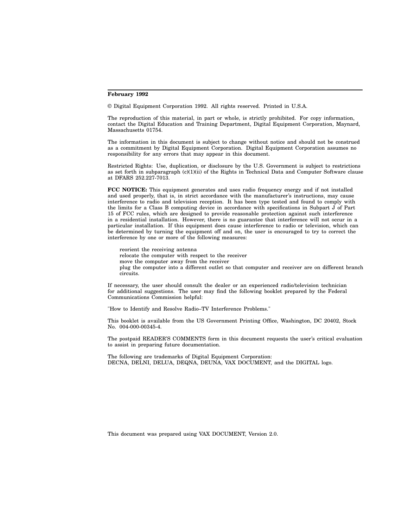#### **February 1992**

© Digital Equipment Corporation 1992. All rights reserved. Printed in U.S.A.

The reproduction of this material, in part or whole, is strictly prohibited. For copy information, contact the Digital Education and Training Department, Digital Equipment Corporation, Maynard, Massachusetts 01754.

The information in this document is subject to change without notice and should not be construed as a commitment by Digital Equipment Corporation. Digital Equipment Corporation assumes no responsibility for any errors that may appear in this document.

Restricted Rights: Use, duplication, or disclosure by the U.S. Government is subject to restrictions as set forth in subparagraph (c)(1)(ii) of the Rights in Technical Data and Computer Software clause at DFARS 252.227-7013.

**FCC NOTICE:** This equipment generates and uses radio frequency energy and if not installed and used properly, that is, in strict accordance with the manufacturer's instructions, may cause interference to radio and television reception. It has been type tested and found to comply with the limits for a Class B computing device in accordance with specifications in Subpart  $\tilde{J}$  of Part 15 of FCC rules, which are designed to provide reasonable protection against such interference in a residential installation. However, there is no guarantee that interference will not occur in a particular installation. If this equipment does cause interference to radio or television, which can be determined by turning the equipment off and on, the user is encouraged to try to correct the interference by one or more of the following measures:

reorient the receiving antenna relocate the computer with respect to the receiver move the computer away from the receiver plug the computer into a different outlet so that computer and receiver are on different branch circuits.

If necessary, the user should consult the dealer or an experienced radio/television technician for additional suggestions. The user may find the following booklet prepared by the Federal Communications Commission helpful:

"How to Identify and Resolve Radio–TV Interference Problems."

This booklet is available from the US Government Printing Office, Washington, DC 20402, Stock No. 004-000-00345-4.

The postpaid READER'S COMMENTS form in this document requests the user's critical evaluation to assist in preparing future documentation.

The following are trademarks of Digital Equipment Corporation: DECNA, DELNI, DELUA, DEQNA, DEUNA, VAX DOCUMENT, and the DIGITAL logo.

This document was prepared using VAX DOCUMENT, Version 2.0.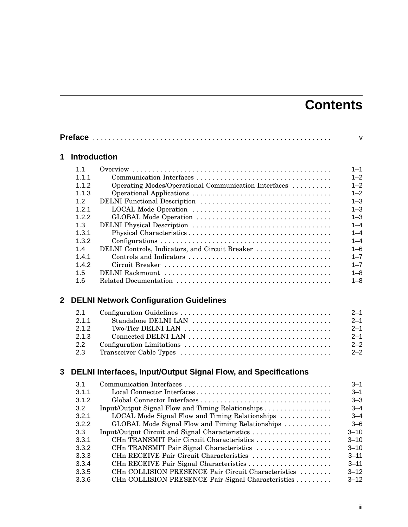# **Contents**

|              |                     |                                                                | $\mathsf{V}$ |
|--------------|---------------------|----------------------------------------------------------------|--------------|
| 1            | <b>Introduction</b> |                                                                |              |
|              | 1.1                 |                                                                | $1 - 1$      |
|              | 1.1.1               |                                                                | $1 - 2$      |
|              | 1.1.2               | Operating Modes/Operational Communication Interfaces           | $1 - 2$      |
|              | 1.1.3               |                                                                | $1 - 2$      |
|              | 1.2                 |                                                                | $1 - 3$      |
|              | 1.2.1               |                                                                | $1 - 3$      |
|              | 1.2.2               |                                                                | $1 - 3$      |
|              | 1.3                 |                                                                | $1 - 4$      |
|              | 1.3.1               |                                                                | $1 - 4$      |
|              | 1.3.2               |                                                                | $1 - 4$      |
|              | 1.4                 | DELNI Controls, Indicators, and Circuit Breaker                | $1 - 6$      |
|              | 1.4.1               |                                                                | $1 - 7$      |
|              | 1.4.2               |                                                                | $1 - 7$      |
|              | 1.5                 |                                                                | $1 - 8$      |
|              | 1.6                 |                                                                | $1 - 8$      |
| $\mathbf{2}$ |                     | <b>DELNI Network Configuration Guidelines</b>                  |              |
|              | 2.1                 |                                                                | $2 - 1$      |
|              | 2.1.1               |                                                                | $2 - 1$      |
|              | 2.1.2               |                                                                | $2 - 1$      |
|              | 2.1.3               |                                                                | $2 - 1$      |
|              | 2.2                 |                                                                | $2 - 2$      |
|              | 2.3                 |                                                                | $2 - 2$      |
| 3            |                     | DELNI Interfaces, Input/Output Signal Flow, and Specifications |              |
|              | 3.1                 |                                                                | $3 - 1$      |
|              | 3.1.1               |                                                                | $3 - 1$      |
|              | 3.1.2               |                                                                | $3 - 3$      |
|              | 3.2                 | Input/Output Signal Flow and Timing Relationships              | $3 - 4$      |
|              | 3.2.1               | LOCAL Mode Signal Flow and Timing Relationships                | $3 - 4$      |
|              | 3.2.2               | GLOBAL Mode Signal Flow and Timing Relationships               | $3 - 6$      |
|              | 3.3                 | Input/Output Circuit and Signal Characteristics                | $3 - 10$     |
|              | 3.3.1               | CHn TRANSMIT Pair Circuit Characteristics                      | $3 - 10$     |
|              | 3.3.2               | CHn TRANSMIT Pair Signal Characteristics                       | $3 - 10$     |
|              | 3.3.3               | CHn RECEIVE Pair Circuit Characteristics                       | $3 - 11$     |
|              | 3.3.4               | CHn RECEIVE Pair Signal Characteristics                        | $3 - 11$     |
|              | 3.3.5               | CHn COLLISION PRESENCE Pair Circuit Characteristics            | $3 - 12$     |
|              | 3.3.6               | CHn COLLISION PRESENCE Pair Signal Characteristics             | $3 - 12$     |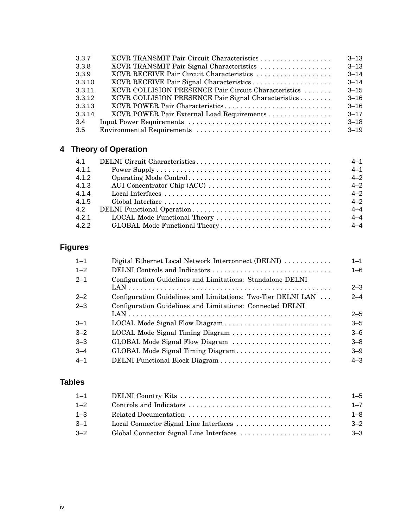| XCVR TRANSMIT Pair Circuit Characteristics           | $3 - 13$ |
|------------------------------------------------------|----------|
| XCVR TRANSMIT Pair Signal Characteristics            | $3 - 13$ |
| XCVR RECEIVE Pair Circuit Characteristics            | $3 - 14$ |
| XCVR RECEIVE Pair Signal Characteristics             | $3 - 14$ |
| XCVR COLLISION PRESENCE Pair Circuit Characteristics | $3 - 15$ |
| XCVR COLLISION PRESENCE Pair Signal Characteristics  | $3 - 16$ |
| XCVR POWER Pair Characteristics                      | $3 - 16$ |
| XCVR POWER Pair External Load Requirements           | $3 - 17$ |
|                                                      | $3 - 18$ |
|                                                      | $3 - 19$ |
|                                                      |          |

## **4 Theory of Operation**

| 4.1   | $4 - 1$ |
|-------|---------|
| 4.1.1 | $4 - 1$ |
| 4.1.2 | $4 - 2$ |
| 4.1.3 | $4 - 2$ |
| 4.1.4 | $4 - 2$ |
| 4.1.5 | $4 - 2$ |
| 4.2   | $4 - 4$ |
| 4.2.1 | $4 - 4$ |
| 4.2.2 |         |

## **Figures**

| Digital Ethernet Local Network Interconnect (DELNI)          | $1 - 1$ |
|--------------------------------------------------------------|---------|
|                                                              | $1 - 6$ |
| Configuration Guidelines and Limitations: Standalone DELNI   |         |
|                                                              | $2 - 3$ |
| Configuration Guidelines and Limitations: Two-Tier DELNI LAN | $2 - 4$ |
| Configuration Guidelines and Limitations: Connected DELNI    |         |
|                                                              | $2 - 5$ |
|                                                              | $3 - 5$ |
| LOCAL Mode Signal Timing Diagram                             | $3 - 6$ |
| GLOBAL Mode Signal Flow Diagram                              | $3 - 8$ |
| GLOBAL Mode Signal Timing Diagram                            | $3 - 9$ |
| DELNI Functional Block Diagram                               | $4 - 3$ |
|                                                              |         |

## **Tables**

| $1 - 1$ | $1 - 5$ |
|---------|---------|
| $1 - 2$ | $1 - 7$ |
| $1 - 3$ | $1 - 8$ |
| $3 - 1$ | $3 - 2$ |
| $3 - 2$ | $3 - 3$ |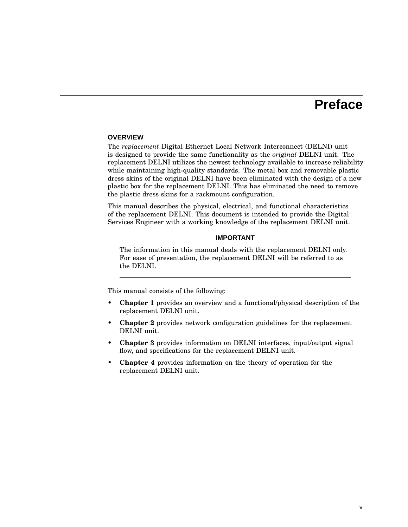## **Preface**

#### **OVERVIEW**

The *replacement* Digital Ethernet Local Network Interconnect (DELNI) unit is designed to provide the same functionality as the *original* DELNI unit. The replacement DELNI utilizes the newest technology available to increase reliability while maintaining high-quality standards. The metal box and removable plastic dress skins of the original DELNI have been eliminated with the design of a new plastic box for the replacement DELNI. This has eliminated the need to remove the plastic dress skins for a rackmount configuration.

This manual describes the physical, electrical, and functional characteristics of the replacement DELNI. This document is intended to provide the Digital Services Engineer with a working knowledge of the replacement DELNI unit.

#### **IMPORTANT**

The information in this manual deals with the replacement DELNI only. For ease of presentation, the replacement DELNI will be referred to as the DELNI.

This manual consists of the following:

- **Chapter 1** provides an overview and a functional/physical description of the replacement DELNI unit.
- **Chapter 2** provides network configuration guidelines for the replacement DELNI unit.
- **Chapter 3** provides information on DELNI interfaces, input/output signal flow, and specifications for the replacement DELNI unit.
- **Chapter 4** provides information on the theory of operation for the replacement DELNI unit.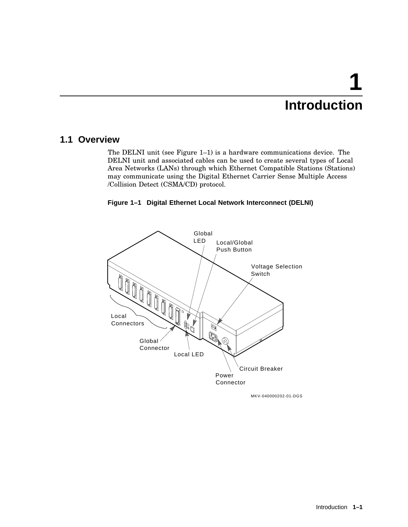# **1 Introduction**

## **1.1 Overview**

The DELNI unit (see Figure 1–1) is a hardware communications device. The DELNI unit and associated cables can be used to create several types of Local Area Networks (LANs) through which Ethernet Compatible Stations (Stations) may communicate using the Digital Ethernet Carrier Sense Multiple Access /Collision Detect (CSMA/CD) protocol.





MKV-040000202-01-DGS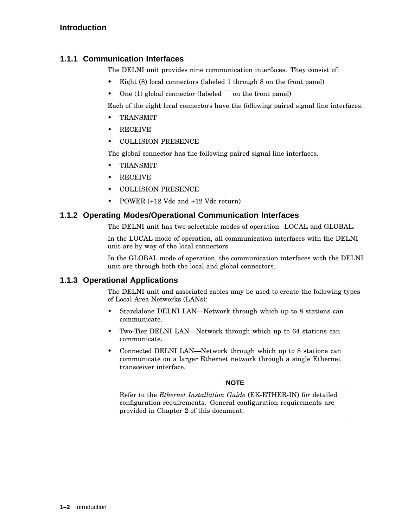## **1.1.1 Communication Interfaces**

The DELNI unit provides nine communication interfaces. They consist of:

- Eight (8) local connectors (labeled 1 through 8 on the front panel)
- One (1) global connector (labeled  $\Box$  on the front panel)

Each of the eight local connectors have the following paired signal line interfaces.

- TRANSMIT
- RECEIVE
- COLLISION PRESENCE

The global connector has the following paired signal line interfaces.

- TRANSMIT
- RECEIVE
- COLLISION PRESENCE
- POWER (+12 Vdc and +12 Vdc return)

### **1.1.2 Operating Modes/Operational Communication Interfaces**

The DELNI unit has two selectable modes of operation: LOCAL and GLOBAL.

In the LOCAL mode of operation, all communication interfaces with the DELNI unit are by way of the local connectors.

In the GLOBAL mode of operation, the communication interfaces with the DELNI unit are through both the local and global connectors.

#### **1.1.3 Operational Applications**

The DELNI unit and associated cables may be used to create the following types of Local Area Networks (LANs):

- Standalone DELNI LAN—Network through which up to 8 stations can communicate.
- Two-Tier DELNI LAN—Network through which up to 64 stations can communicate.
- Connected DELNI LAN—Network through which up to 8 stations can communicate on a larger Ethernet network through a single Ethernet transceiver interface.

#### **NOTE**

Refer to the *Ethernet Installation Guide* (EK-ETHER-IN) for detailed configuration requirements. General configuration requirements are provided in Chapter 2 of this document.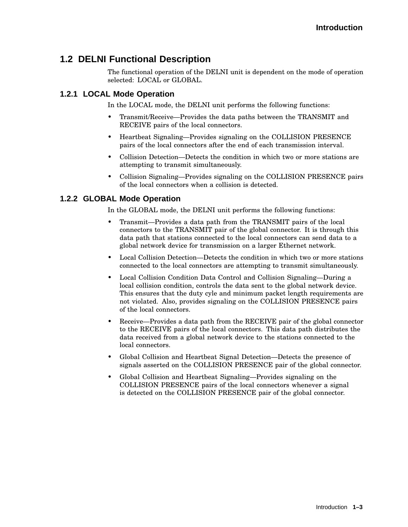## **1.2 DELNI Functional Description**

The functional operation of the DELNI unit is dependent on the mode of operation selected: LOCAL or GLOBAL.

#### **1.2.1 LOCAL Mode Operation**

In the LOCAL mode, the DELNI unit performs the following functions:

- Transmit/Receive—Provides the data paths between the TRANSMIT and RECEIVE pairs of the local connectors.
- Heartbeat Signaling—Provides signaling on the COLLISION PRESENCE pairs of the local connectors after the end of each transmission interval.
- Collision Detection—Detects the condition in which two or more stations are attempting to transmit simultaneously.
- Collision Signaling—Provides signaling on the COLLISION PRESENCE pairs of the local connectors when a collision is detected.

#### **1.2.2 GLOBAL Mode Operation**

In the GLOBAL mode, the DELNI unit performs the following functions:

- Transmit—Provides a data path from the TRANSMIT pairs of the local connectors to the TRANSMIT pair of the global connector. It is through this data path that stations connected to the local connectors can send data to a global network device for transmission on a larger Ethernet network.
- Local Collision Detection—Detects the condition in which two or more stations connected to the local connectors are attempting to transmit simultaneously.
- Local Collision Condition Data Control and Collision Signaling—During a local collision condition, controls the data sent to the global network device. This ensures that the duty cyle and minimum packet length requirements are not violated. Also, provides signaling on the COLLISION PRESENCE pairs of the local connectors.
- Receive—Provides a data path from the RECEIVE pair of the global connector to the RECEIVE pairs of the local connectors. This data path distributes the data received from a global network device to the stations connected to the local connectors.
- Global Collision and Heartbeat Signal Detection—Detects the presence of signals asserted on the COLLISION PRESENCE pair of the global connector.
- Global Collision and Heartbeat Signaling—Provides signaling on the COLLISION PRESENCE pairs of the local connectors whenever a signal is detected on the COLLISION PRESENCE pair of the global connector.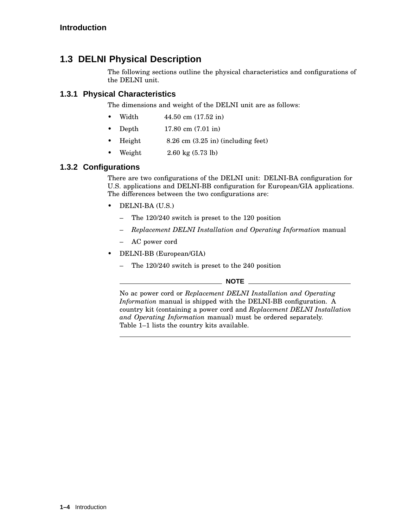## **1.3 DELNI Physical Description**

The following sections outline the physical characteristics and configurations of the DELNI unit.

## **1.3.1 Physical Characteristics**

The dimensions and weight of the DELNI unit are as follows:

- Width 44.50 cm (17.52 in)
- Depth 17.80 cm (7.01 in)
- Height 8.26 cm (3.25 in) (including feet)
- Weight  $2.60 \text{ kg} (5.73 \text{ lb})$

## **1.3.2 Configurations**

There are two configurations of the DELNI unit: DELNI-BA configuration for U.S. applications and DELNI-BB configuration for European/GIA applications. The differences between the two configurations are:

- DELNI-BA (U.S.)
	- The 120/240 switch is preset to the 120 position
	- *Replacement DELNI Installation and Operating Information* manual
	- AC power cord
- DELNI-BB (European/GIA)
	- The 120/240 switch is preset to the 240 position

#### **NOTE** \_\_\_

No ac power cord or *Replacement DELNI Installation and Operating Information* manual is shipped with the DELNI-BB configuration. A country kit (containing a power cord and *Replacement DELNI Installation and Operating Information* manual) must be ordered separately. Table 1–1 lists the country kits available.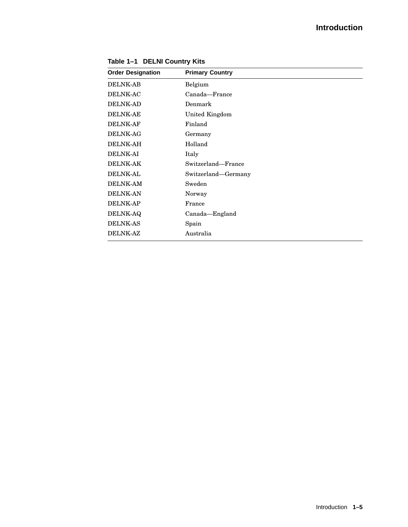## **Introduction**

| <b>Order Designation</b> | <b>Primary Country</b> |
|--------------------------|------------------------|
| <b>DELNK-AB</b>          | Belgium                |
| <b>DELNK-AC</b>          | Canada—France          |
| <b>DELNK-AD</b>          | Denmark                |
| <b>DELNK-AE</b>          | <b>United Kingdom</b>  |
| <b>DELNK-AF</b>          | Finland                |
| <b>DELNK-AG</b>          | Germany                |
| <b>DELNK-AH</b>          | Holland                |
| <b>DELNK-AI</b>          | Italy                  |
| <b>DELNK-AK</b>          | Switzerland-France     |
| <b>DELNK-AL</b>          | Switzerland-Germany    |
| <b>DELNK-AM</b>          | Sweden                 |
| <b>DELNK-AN</b>          | Norway                 |
| <b>DELNK-AP</b>          | France                 |
| <b>DELNK-AQ</b>          | Canada-England         |
| <b>DELNK-AS</b>          | Spain                  |
| <b>DELNK-AZ</b>          | Australia              |

**Table 1–1 DELNI Country Kits**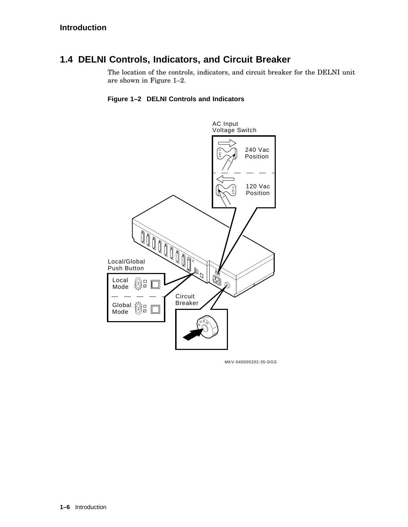## **1.4 DELNI Controls, Indicators, and Circuit Breaker**

The location of the controls, indicators, and circuit breaker for the DELNI unit are shown in Figure 1–2.

#### **Figure 1–2 DELNI Controls and Indicators**



MKV-040000202-35-DGS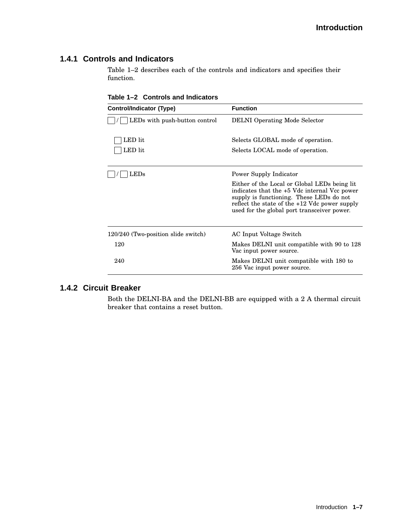#### **1.4.1 Controls and Indicators**

Table 1–2 describes each of the controls and indicators and specifies their function.

**Table 1–2 Controls and Indicators**

| <b>Control/Indicator (Type)</b>     | <b>Function</b>                                                                                                                                                                                                                            |  |
|-------------------------------------|--------------------------------------------------------------------------------------------------------------------------------------------------------------------------------------------------------------------------------------------|--|
| LEDs with push-button control       | <b>DELNI</b> Operating Mode Selector                                                                                                                                                                                                       |  |
| LED lit                             | Selects GLOBAL mode of operation.                                                                                                                                                                                                          |  |
| LED lit                             | Selects LOCAL mode of operation.                                                                                                                                                                                                           |  |
|                                     | Power Supply Indicator                                                                                                                                                                                                                     |  |
|                                     | Either of the Local or Global LEDs being lit<br>indicates that the +5 Vdc internal Vcc power<br>supply is functioning. These LEDs do not<br>reflect the state of the $+12$ Vdc power supply<br>used for the global port transceiver power. |  |
| 120/240 (Two-position slide switch) | AC Input Voltage Switch                                                                                                                                                                                                                    |  |
| 120                                 | Makes DELNI unit compatible with 90 to 128<br>Vac input power source.                                                                                                                                                                      |  |
| 240                                 | Makes DELNI unit compatible with 180 to<br>256 Vac input power source.                                                                                                                                                                     |  |

## **1.4.2 Circuit Breaker**

Both the DELNI-BA and the DELNI-BB are equipped with a 2 A thermal circuit breaker that contains a reset button.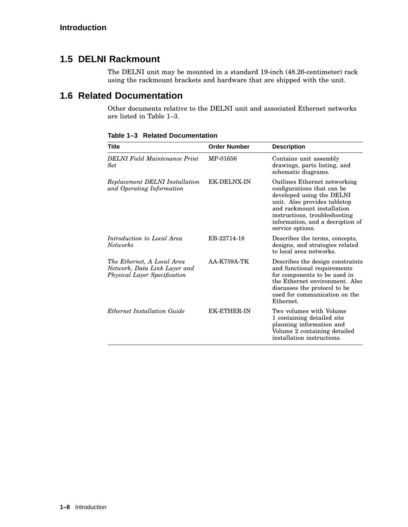## **1.5 DELNI Rackmount**

The DELNI unit may be mounted in a standard 19-inch (48.26-centimeter) rack using the rackmount brackets and hardware that are shipped with the unit.

## **1.6 Related Documentation**

Other documents relative to the DELNI unit and associated Ethernet networks are listed in Table 1–3.

| Title                                                                                      | <b>Order Number</b> | <b>Description</b>                                                                                                                                                                                                                             |
|--------------------------------------------------------------------------------------------|---------------------|------------------------------------------------------------------------------------------------------------------------------------------------------------------------------------------------------------------------------------------------|
| DELNI Field Maintenance Print<br>Set                                                       | MP-01656            | Contains unit assembly<br>drawings, parts listing, and<br>schematic diagrams.                                                                                                                                                                  |
| Replacement DELNI Installation<br>and Operating Information                                | <b>EK-DELNX-IN</b>  | Outlines Ethernet networking<br>configurations that can be<br>developed using the DELNI<br>unit. Also provides tabletop<br>and rackmount installation<br>instructions, troubleshooting<br>information, and a decription of<br>service options. |
| Introduction to Local Area<br>Networks                                                     | EB-22714-18         | Describes the terms, concepts,<br>designs, and strategies related<br>to local area networks.                                                                                                                                                   |
| The Ethernet, A Local Area<br>Network, Data Link Layer and<br>Physical Layer Specification | <b>AA-K759A-TK</b>  | Describes the design constraints<br>and functional requirements<br>for components to be used in<br>the Ethernet environment. Also<br>discusses the protocol to be<br>used for communication on the<br>Ethernet.                                |
| Ethernet Installation Guide                                                                | <b>EK-ETHER-IN</b>  | Two volumes with Volume<br>1 containing detailed site<br>planning information and<br>Volume 2 containing detailed<br>installation instructions.                                                                                                |

**Table 1–3 Related Documentation**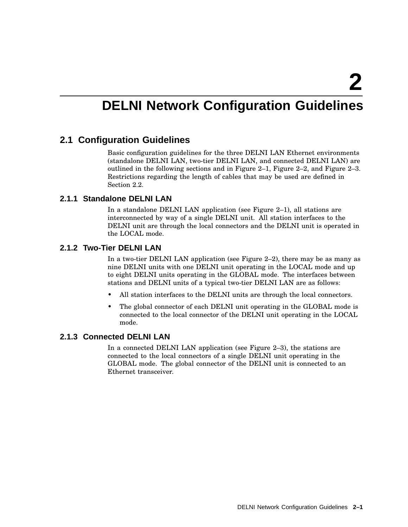# **DELNI Network Configuration Guidelines**

### **2.1 Configuration Guidelines**

Basic configuration guidelines for the three DELNI LAN Ethernet environments (standalone DELNI LAN, two-tier DELNI LAN, and connected DELNI LAN) are outlined in the following sections and in Figure 2–1, Figure 2–2, and Figure 2–3. Restrictions regarding the length of cables that may be used are defined in Section 2.2.

#### **2.1.1 Standalone DELNI LAN**

In a standalone DELNI LAN application (see Figure 2–1), all stations are interconnected by way of a single DELNI unit. All station interfaces to the DELNI unit are through the local connectors and the DELNI unit is operated in the LOCAL mode.

#### **2.1.2 Two-Tier DELNI LAN**

In a two-tier DELNI LAN application (see Figure 2–2), there may be as many as nine DELNI units with one DELNI unit operating in the LOCAL mode and up to eight DELNI units operating in the GLOBAL mode. The interfaces between stations and DELNI units of a typical two-tier DELNI LAN are as follows:

- All station interfaces to the DELNI units are through the local connectors.
- The global connector of each DELNI unit operating in the GLOBAL mode is connected to the local connector of the DELNI unit operating in the LOCAL mode.

#### **2.1.3 Connected DELNI LAN**

In a connected DELNI LAN application (see Figure 2–3), the stations are connected to the local connectors of a single DELNI unit operating in the GLOBAL mode. The global connector of the DELNI unit is connected to an Ethernet transceiver.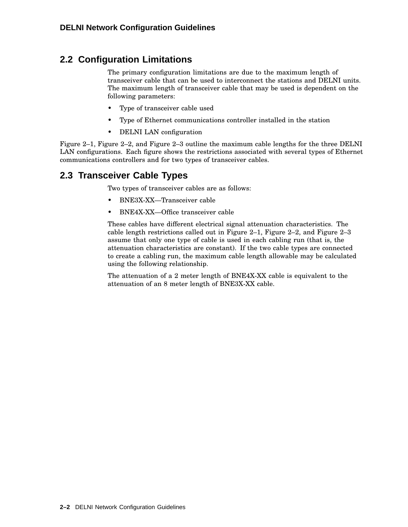## **2.2 Configuration Limitations**

The primary configuration limitations are due to the maximum length of transceiver cable that can be used to interconnect the stations and DELNI units. The maximum length of transceiver cable that may be used is dependent on the following parameters:

- Type of transceiver cable used
- Type of Ethernet communications controller installed in the station
- DELNI LAN configuration

Figure 2–1, Figure 2–2, and Figure 2–3 outline the maximum cable lengths for the three DELNI LAN configurations. Each figure shows the restrictions associated with several types of Ethernet communications controllers and for two types of transceiver cables.

## **2.3 Transceiver Cable Types**

Two types of transceiver cables are as follows:

- BNE3X-XX—Transceiver cable
- BNE4X-XX—Office transceiver cable

These cables have different electrical signal attenuation characteristics. The cable length restrictions called out in Figure 2–1, Figure 2–2, and Figure 2–3 assume that only one type of cable is used in each cabling run (that is, the attenuation characteristics are constant). If the two cable types are connected to create a cabling run, the maximum cable length allowable may be calculated using the following relationship.

The attenuation of a 2 meter length of BNE4X-XX cable is equivalent to the attenuation of an 8 meter length of BNE3X-XX cable.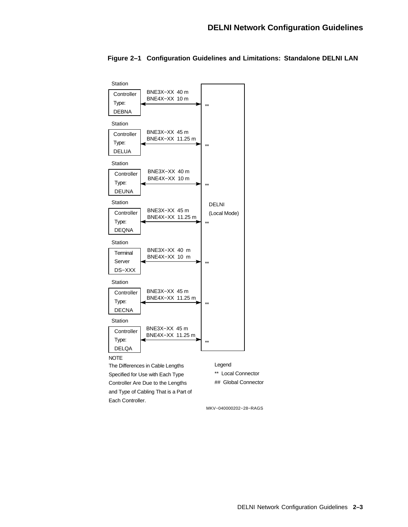

#### **Figure 2–1 Configuration Guidelines and Limitations: Standalone DELNI LAN**

MKV−040000202−28−RAGS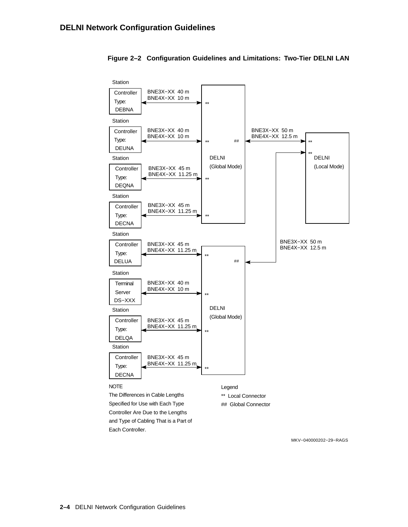

#### **Figure 2–2 Configuration Guidelines and Limitations: Two-Tier DELNI LAN**

MKV−040000202−29−RAGS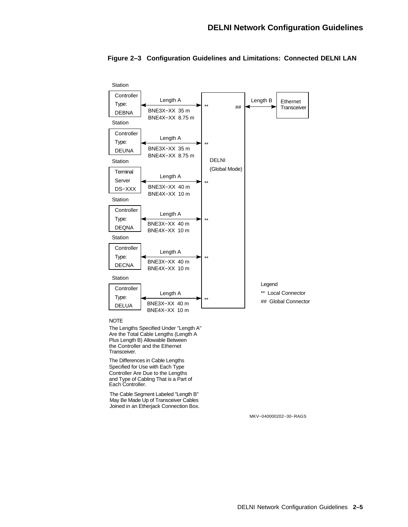

#### **Figure 2–3 Configuration Guidelines and Limitations: Connected DELNI LAN**

NOTE

The Lengths Specified Under "Length A" Are the Total Cable Lengths (Length A Plus Length B) Allowable Between the Controller and the Ethernet Transceiver.

The Differences in Cable Lengths Specified for Use with Each Type Controller Are Due to the Lengths and Type of Cabling That is a Part of Each Controller.

The Cable Segment Labeled "Length B" May Be Made Up of Transceiver Cables Joined in an Etherjack Connection Box.

MKV−040000202−30−RAGS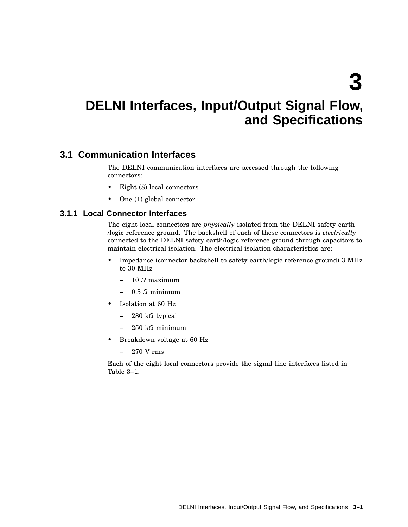# **DELNI Interfaces, Input/Output Signal Flow, and Specifications**

## **3.1 Communication Interfaces**

The DELNI communication interfaces are accessed through the following connectors:

- Eight (8) local connectors
- One (1) global connector

#### **3.1.1 Local Connector Interfaces**

The eight local connectors are *physically* isolated from the DELNI safety earth /logic reference ground. The backshell of each of these connectors is *electrically* connected to the DELNI safety earth/logic reference ground through capacitors to maintain electrical isolation. The electrical isolation characteristics are:

- Impedance (connector backshell to safety earth/logic reference ground) 3 MHz to 30 MHz
	- $-$  10  $\Omega$  maximum
	- $-$  0.5  $\Omega$  minimum
- Isolation at 60 Hz
	- $-$  280 k $\Omega$  typical
	- $-$  250 k $\Omega$  minimum
- Breakdown voltage at 60 Hz
	- $-270$  V rms

Each of the eight local connectors provide the signal line interfaces listed in Table 3–1.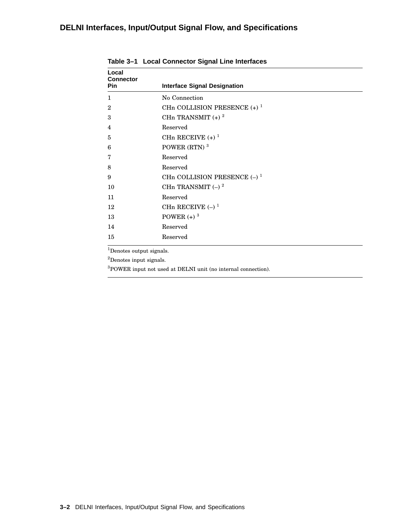## **DELNI Interfaces, Input/Output Signal Flow, and Specifications**

| Local<br><b>Connector</b><br>Pin | <b>Interface Signal Designation</b>       |  |
|----------------------------------|-------------------------------------------|--|
|                                  |                                           |  |
| 1                                | No Connection                             |  |
| $\overline{2}$                   | CHn COLLISION PRESENCE $(+)$ <sup>1</sup> |  |
| 3                                | CHn TRANSMIT $(+)$ <sup>2</sup>           |  |
| $\overline{4}$                   | Reserved                                  |  |
| 5                                | CHn RECEIVE $(+)$ <sup>1</sup>            |  |
| 6                                | POWER (RTN) <sup>3</sup>                  |  |
| $\overline{7}$                   | Reserved                                  |  |
| 8                                | Reserved                                  |  |
| 9                                | CHn COLLISION PRESENCE $(-)^1$            |  |
| 10                               | CHn TRANSMIT $(-)$ <sup>2</sup>           |  |
| 11                               | Reserved                                  |  |
| 12                               | CHn RECEIVE $(-)$ <sup>1</sup>            |  |
| 13                               | POWER $(+)$ <sup>3</sup>                  |  |
| 14                               | Reserved                                  |  |
| 15                               | Reserved                                  |  |

**Table 3–1 Local Connector Signal Line Interfaces**

Denotes output signals.

 $^2\mbox{Denotes}$  input signals.

 ${\rm ^3POWER}$  input not used at DELNI unit (no internal connection).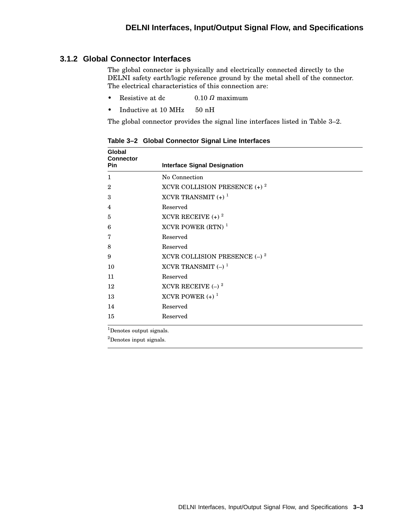#### **3.1.2 Global Connector Interfaces**

The global connector is physically and electrically connected directly to the DELNI safety earth/logic reference ground by the metal shell of the connector. The electrical characteristics of this connection are:

- Resistive at dc  $0.10 \Omega$  maximum
- Inductive at 10 MHz 50 nH

The global connector provides the signal line interfaces listed in Table 3–2.

| <b>Interface Signal Designation</b>        |
|--------------------------------------------|
| No Connection                              |
| XCVR COLLISION PRESENCE $(+)$ <sup>2</sup> |
| XCVR TRANSMIT $(+)$ <sup>1</sup>           |
| Reserved                                   |
| XCVR RECEIVE $(+)$ <sup>2</sup>            |
| XCVR POWER (RTN) $1$                       |
| Reserved                                   |
| Reserved                                   |
| XCVR COLLISION PRESENCE $(-)^2$            |
| XCVR TRANSMIT $(-)$ <sup>1</sup>           |
| Reserved                                   |
| XCVR RECEIVE $(-)^2$                       |
| XCVR POWER $(+)$ <sup>1</sup>              |
| Reserved                                   |
| Reserved                                   |
|                                            |

**Table 3–2 Global Connector Signal Line Interfaces**

<sup>1</sup>Denotes output signals.

<sup>2</sup>Denotes input signals.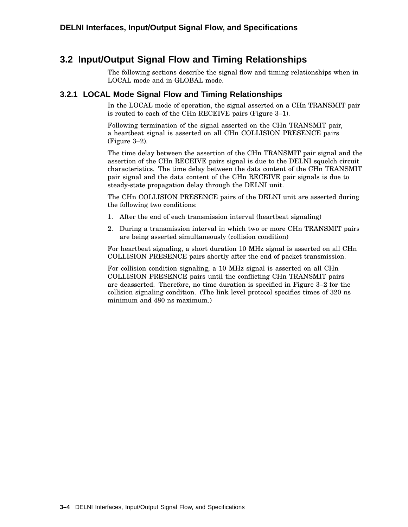## **3.2 Input/Output Signal Flow and Timing Relationships**

The following sections describe the signal flow and timing relationships when in LOCAL mode and in GLOBAL mode.

#### **3.2.1 LOCAL Mode Signal Flow and Timing Relationships**

In the LOCAL mode of operation, the signal asserted on a CHn TRANSMIT pair is routed to each of the CHn RECEIVE pairs (Figure 3–1).

Following termination of the signal asserted on the CHn TRANSMIT pair, a heartbeat signal is asserted on all CHn COLLISION PRESENCE pairs (Figure 3–2).

The time delay between the assertion of the CHn TRANSMIT pair signal and the assertion of the CHn RECEIVE pairs signal is due to the DELNI squelch circuit characteristics. The time delay between the data content of the CHn TRANSMIT pair signal and the data content of the CHn RECEIVE pair signals is due to steady-state propagation delay through the DELNI unit.

The CHn COLLISION PRESENCE pairs of the DELNI unit are asserted during the following two conditions:

- 1. After the end of each transmission interval (heartbeat signaling)
- 2. During a transmission interval in which two or more CHn TRANSMIT pairs are being asserted simultaneously (collision condition)

For heartbeat signaling, a short duration 10 MHz signal is asserted on all CHn COLLISION PRESENCE pairs shortly after the end of packet transmission.

For collision condition signaling, a 10 MHz signal is asserted on all CHn COLLISION PRESENCE pairs until the conflicting CHn TRANSMIT pairs are deasserted. Therefore, no time duration is specified in Figure 3–2 for the collision signaling condition. (The link level protocol specifies times of 320 ns minimum and 480 ns maximum.)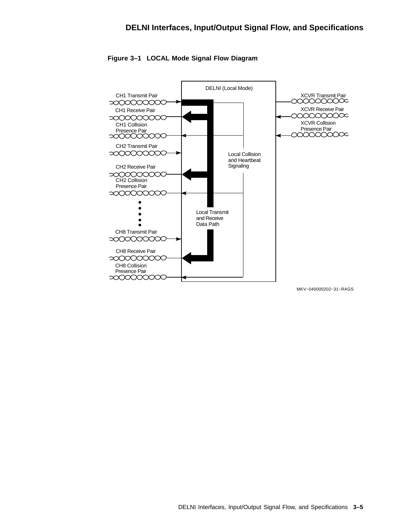

**Figure 3–1 LOCAL Mode Signal Flow Diagram**

MKV−040000202−31−RAGS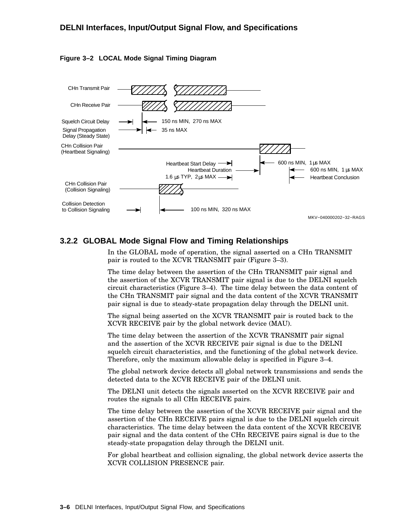



#### **3.2.2 GLOBAL Mode Signal Flow and Timing Relationships**

In the GLOBAL mode of operation, the signal asserted on a CHn TRANSMIT pair is routed to the XCVR TRANSMIT pair (Figure 3–3).

The time delay between the assertion of the CHn TRANSMIT pair signal and the assertion of the XCVR TRANSMIT pair signal is due to the DELNI squelch circuit characteristics (Figure 3–4). The time delay between the data content of the CHn TRANSMIT pair signal and the data content of the XCVR TRANSMIT pair signal is due to steady-state propagation delay through the DELNI unit.

The signal being asserted on the XCVR TRANSMIT pair is routed back to the XCVR RECEIVE pair by the global network device (MAU).

The time delay between the assertion of the XCVR TRANSMIT pair signal and the assertion of the XCVR RECEIVE pair signal is due to the DELNI squelch circuit characteristics, and the functioning of the global network device. Therefore, only the maximum allowable delay is specified in Figure 3–4.

The global network device detects all global network transmissions and sends the detected data to the XCVR RECEIVE pair of the DELNI unit.

The DELNI unit detects the signals asserted on the XCVR RECEIVE pair and routes the signals to all CHn RECEIVE pairs.

The time delay between the assertion of the XCVR RECEIVE pair signal and the assertion of the CHn RECEIVE pairs signal is due to the DELNI squelch circuit characteristics. The time delay between the data content of the XCVR RECEIVE pair signal and the data content of the CHn RECEIVE pairs signal is due to the steady-state propagation delay through the DELNI unit.

For global heartbeat and collision signaling, the global network device asserts the XCVR COLLISION PRESENCE pair.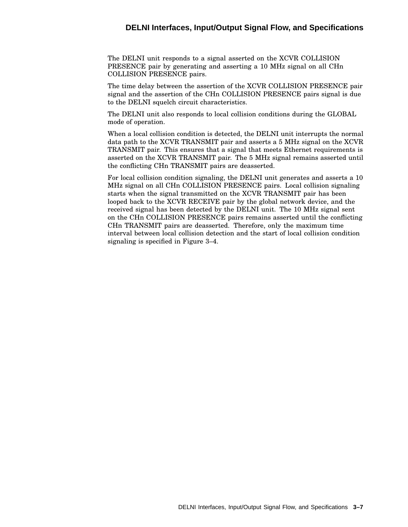#### **DELNI Interfaces, Input/Output Signal Flow, and Specifications**

The DELNI unit responds to a signal asserted on the XCVR COLLISION PRESENCE pair by generating and asserting a 10 MHz signal on all CHn COLLISION PRESENCE pairs.

The time delay between the assertion of the XCVR COLLISION PRESENCE pair signal and the assertion of the CHn COLLISION PRESENCE pairs signal is due to the DELNI squelch circuit characteristics.

The DELNI unit also responds to local collision conditions during the GLOBAL mode of operation.

When a local collision condition is detected, the DELNI unit interrupts the normal data path to the XCVR TRANSMIT pair and asserts a 5 MHz signal on the XCVR TRANSMIT pair. This ensures that a signal that meets Ethernet requirements is asserted on the XCVR TRANSMIT pair. The 5 MHz signal remains asserted until the conflicting CHn TRANSMIT pairs are deasserted.

For local collision condition signaling, the DELNI unit generates and asserts a 10 MHz signal on all CHn COLLISION PRESENCE pairs. Local collision signaling starts when the signal transmitted on the XCVR TRANSMIT pair has been looped back to the XCVR RECEIVE pair by the global network device, and the received signal has been detected by the DELNI unit. The 10 MHz signal sent on the CHn COLLISION PRESENCE pairs remains asserted until the conflicting CHn TRANSMIT pairs are deasserted. Therefore, only the maximum time interval between local collision detection and the start of local collision condition signaling is specified in Figure 3–4.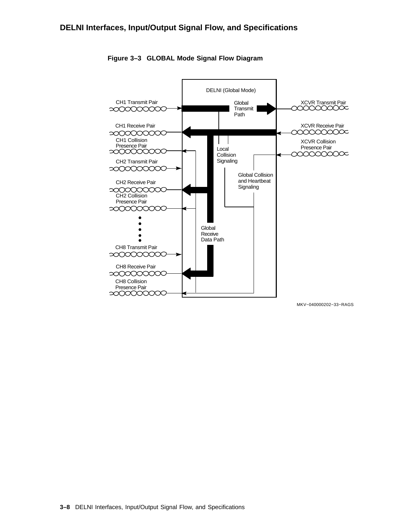

**Figure 3–3 GLOBAL Mode Signal Flow Diagram**

MKV−040000202−33−RAGS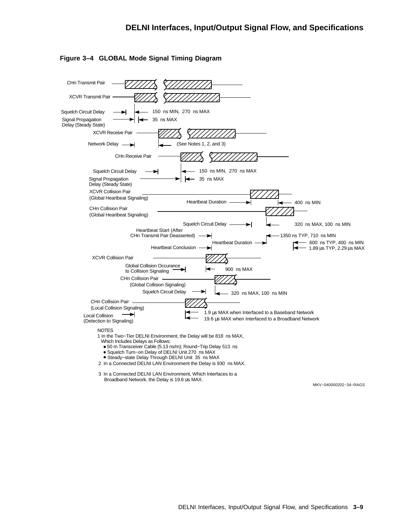



2 In a Connected DELNI LAN Environment the Delay is 930 ns MAX.

3 In a Connected DELNI LAN Environment, Which Interfaces to a Broadband Network, the Delay is 19.6 us MAX.

MKV−040000202−34−RAGS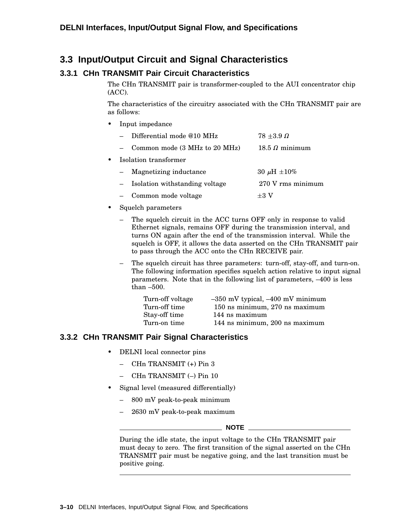## **3.3 Input/Output Circuit and Signal Characteristics**

## **3.3.1 CHn TRANSMIT Pair Circuit Characteristics**

The CHn TRANSMIT pair is transformer-coupled to the AUI concentrator chip (ACC).

The characteristics of the circuitry associated with the CHn TRANSMIT pair are as follows:

• Input impedance

|           |                       | Differential mode @10 MHz        | $78 + 3.9 \Omega$     |
|-----------|-----------------------|----------------------------------|-----------------------|
|           |                       | Common mode (3 MHz to 20 MHz)    | $18.5 \Omega$ minimum |
| $\bullet$ | Isolation transformer |                                  |                       |
|           |                       | - Magnetizing inductance         | 30 $\mu$ H $\pm$ 10%  |
|           |                       | - Isolation withstanding voltage | 270 V rms minimum     |
|           | $ \,$                 | Common mode voltage              | $+3V$                 |

- Squelch parameters
	- The squelch circuit in the ACC turns OFF only in response to valid Ethernet signals, remains OFF during the transmission interval, and turns ON again after the end of the transmission interval. While the squelch is OFF, it allows the data asserted on the CHn TRANSMIT pair to pass through the ACC onto the CHn RECEIVE pair.
	- The squelch circuit has three parameters: turn-off, stay-off, and turn-on. The following information specifies squelch action relative to input signal parameters. Note that in the following list of parameters, –400 is less than –500.

| $-350$ mV typical, $-400$ mV minimum |
|--------------------------------------|
| 150 ns minimum, 270 ns maximum       |
| 144 ns maximum                       |
| 144 ns minimum, 200 ns maximum       |
|                                      |

## **3.3.2 CHn TRANSMIT Pair Signal Characteristics**

- DELNI local connector pins
	- CHn TRANSMIT (+) Pin 3
	- CHn TRANSMIT (–) Pin 10
- Signal level (measured differentially)
	- 800 mV peak-to-peak minimum
	- 2630 mV peak-to-peak maximum

#### \_\_\_\_\_\_\_\_\_ NOTE \_\_\_\_\_\_\_\_

During the idle state, the input voltage to the CHn TRANSMIT pair must decay to zero. The first transition of the signal asserted on the CHn TRANSMIT pair must be negative going, and the last transition must be positive going.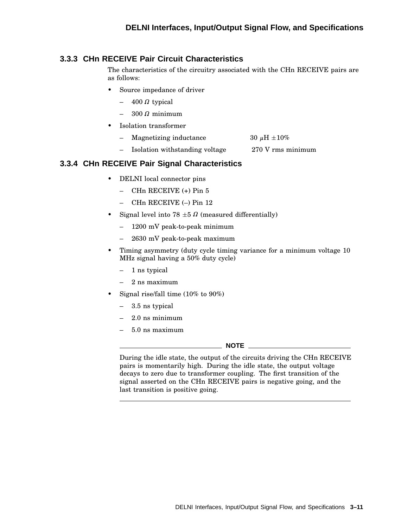#### **3.3.3 CHn RECEIVE Pair Circuit Characteristics**

The characteristics of the circuitry associated with the CHn RECEIVE pairs are as follows:

- Source impedance of driver
	- $-$  400  $\Omega$  typical
	- $-$  300  $\Omega$  minimum
- Isolation transformer
	- Magnetizing inductance  $30 \mu H \pm 10\%$
	- Isolation withstanding voltage 270 V rms minimum

#### **3.3.4 CHn RECEIVE Pair Signal Characteristics**

- DELNI local connector pins
	- CHn RECEIVE (+) Pin 5
	- CHn RECEIVE (–) Pin 12
- Signal level into  $78 \pm 5$   $\Omega$  (measured differentially)
	- 1200 mV peak-to-peak minimum
	- 2630 mV peak-to-peak maximum
- Timing asymmetry (duty cycle timing variance for a minimum voltage 10 MHz signal having a 50% duty cycle)
	- 1 ns typical
	- 2 ns maximum
- Signal rise/fall time (10% to 90%)
	- 3.5 ns typical
	- 2.0 ns minimum
	- 5.0 ns maximum

#### **NOTE**

During the idle state, the output of the circuits driving the CHn RECEIVE pairs is momentarily high. During the idle state, the output voltage decays to zero due to transformer coupling. The first transition of the signal asserted on the CHn RECEIVE pairs is negative going, and the last transition is positive going.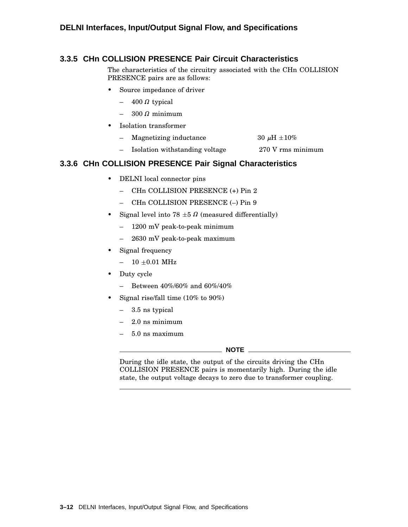#### **3.3.5 CHn COLLISION PRESENCE Pair Circuit Characteristics**

The characteristics of the circuitry associated with the CHn COLLISION PRESENCE pairs are as follows:

- Source impedance of driver
	- $-$  400  $\Omega$  typical
	- $-$  300  $\Omega$  minimum
- Isolation transformer
	- Magnetizing inductance  $30 \mu H \pm 10\%$
	- Isolation withstanding voltage 270 V rms minimum

#### **3.3.6 CHn COLLISION PRESENCE Pair Signal Characteristics**

- DELNI local connector pins
	- CHn COLLISION PRESENCE (+) Pin 2
	- CHn COLLISION PRESENCE (–) Pin 9
- Signal level into  $78 \pm 5$   $\Omega$  (measured differentially)
	- 1200 mV peak-to-peak minimum
	- 2630 mV peak-to-peak maximum
- Signal frequency
	- $-$  10  $\pm 0.01$  MHz
- Duty cycle
	- Between 40%/60% and 60%/40%
- Signal rise/fall time (10% to 90%)
	- 3.5 ns typical
	- 2.0 ns minimum
	- 5.0 ns maximum

**NOTE**

During the idle state, the output of the circuits driving the CHn COLLISION PRESENCE pairs is momentarily high. During the idle state, the output voltage decays to zero due to transformer coupling.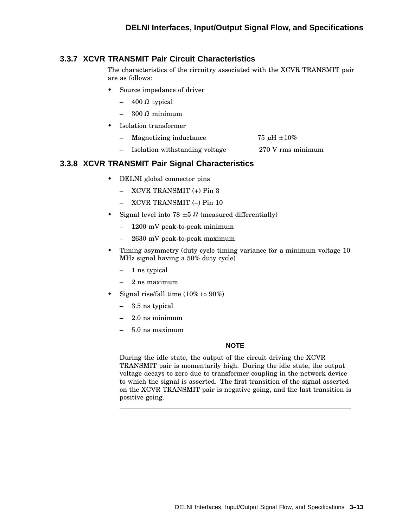#### **3.3.7 XCVR TRANSMIT Pair Circuit Characteristics**

The characteristics of the circuitry associated with the XCVR TRANSMIT pair are as follows:

- Source impedance of driver
	- $-$  400  $\Omega$  typical
	- $-$  300  $\Omega$  minimum
- Isolation transformer
	- Magnetizing inductance  $75 \mu H \pm 10\%$
	- Isolation withstanding voltage 270 V rms minimum

#### **3.3.8 XCVR TRANSMIT Pair Signal Characteristics**

- DELNI global connector pins
	- XCVR TRANSMIT (+) Pin 3
	- XCVR TRANSMIT (–) Pin 10
- Signal level into  $78 \pm 5$   $\Omega$  (measured differentially)
	- 1200 mV peak-to-peak minimum
	- 2630 mV peak-to-peak maximum
- Timing asymmetry (duty cycle timing variance for a minimum voltage 10 MHz signal having a 50% duty cycle)
	- 1 ns typical
	- 2 ns maximum
- Signal rise/fall time (10% to 90%)
	- 3.5 ns typical
	- 2.0 ns minimum
	- 5.0 ns maximum

#### **NOTE**

During the idle state, the output of the circuit driving the XCVR TRANSMIT pair is momentarily high. During the idle state, the output voltage decays to zero due to transformer coupling in the network device to which the signal is asserted. The first transition of the signal asserted on the XCVR TRANSMIT pair is negative going, and the last transition is positive going.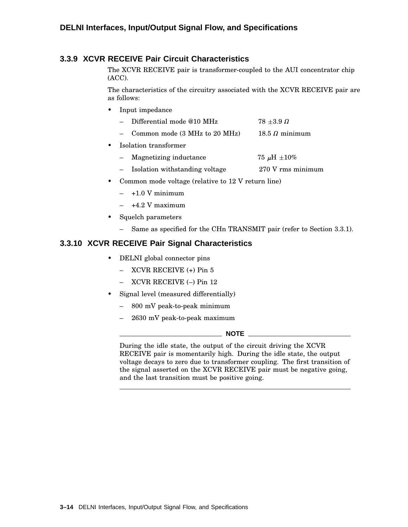#### **3.3.9 XCVR RECEIVE Pair Circuit Characteristics**

The XCVR RECEIVE pair is transformer-coupled to the AUI concentrator chip (ACC).

The characteristics of the circuitry associated with the XCVR RECEIVE pair are as follows:

- Input impedance
	- Differential mode @10 MHz  $78 \pm 3.9 \Omega$
	- $-$  Common mode (3 MHz to 20 MHz)  $18.5 \Omega$  minimum
- Isolation transformer
	- Magnetizing inductance  $75 \mu H \pm 10\%$
	- Isolation withstanding voltage 270 V rms minimum
- Common mode voltage (relative to 12 V return line)
	- $-$  +1.0 V minimum
	- $-$  +4.2 V maximum
- Squelch parameters
	- Same as specified for the CHn TRANSMIT pair (refer to Section 3.3.1).

#### **3.3.10 XCVR RECEIVE Pair Signal Characteristics**

- DELNI global connector pins
	- XCVR RECEIVE (+) Pin 5
	- XCVR RECEIVE (–) Pin 12
- Signal level (measured differentially)
	- 800 mV peak-to-peak minimum
	- 2630 mV peak-to-peak maximum

**NOTE**

During the idle state, the output of the circuit driving the XCVR RECEIVE pair is momentarily high. During the idle state, the output voltage decays to zero due to transformer coupling. The first transition of the signal asserted on the XCVR RECEIVE pair must be negative going, and the last transition must be positive going.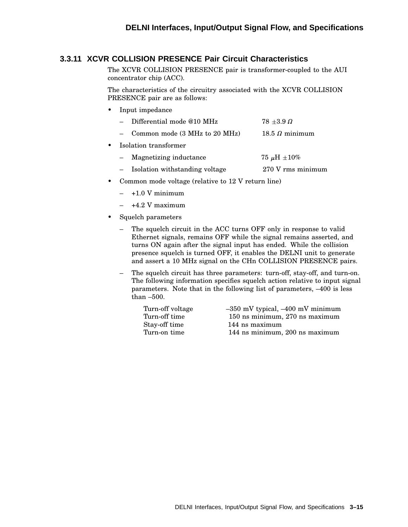#### **3.3.11 XCVR COLLISION PRESENCE Pair Circuit Characteristics**

The XCVR COLLISION PRESENCE pair is transformer-coupled to the AUI concentrator chip (ACC).

The characteristics of the circuitry associated with the XCVR COLLISION PRESENCE pair are as follows:

- Input impedance
	- Differential mode @10 MHz  $78 \pm 3.9 \Omega$
	- Common mode  $(3 \text{ MHz to } 20 \text{ MHz})$  $18.5 \Omega$  minimum
- Isolation transformer

| Magnetizing inductance | $75 \mu H \pm 10\%$ |
|------------------------|---------------------|
|------------------------|---------------------|

- Isolation withstanding voltage 270 V rms minimum
- Common mode voltage (relative to 12 V return line)
	- $-$  +1.0 V minimum
	- $-$  +4.2 V maximum
- Squelch parameters
	- The squelch circuit in the ACC turns OFF only in response to valid Ethernet signals, remains OFF while the signal remains asserted, and turns ON again after the signal input has ended. While the collision presence squelch is turned OFF, it enables the DELNI unit to generate and assert a 10 MHz signal on the CHn COLLISION PRESENCE pairs.
	- The squelch circuit has three parameters: turn-off, stay-off, and turn-on. The following information specifies squelch action relative to input signal parameters. Note that in the following list of parameters, –400 is less than –500.

| Turn-off voltage | $-350$ mV typical, $-400$ mV minimum |
|------------------|--------------------------------------|
| Turn-off time    | 150 ns minimum, 270 ns maximum       |
| Stay-off time    | 144 ns maximum                       |
| Turn-on time     | 144 ns minimum, 200 ns maximum       |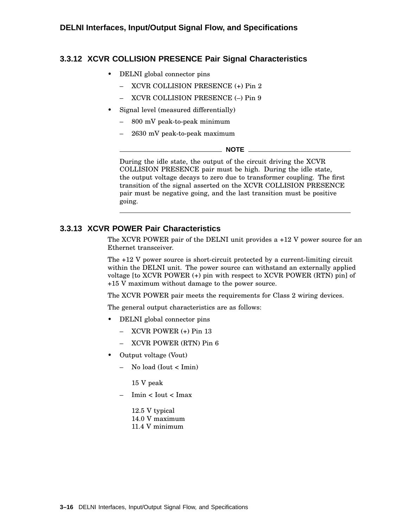#### **3.3.12 XCVR COLLISION PRESENCE Pair Signal Characteristics**

- DELNI global connector pins
	- XCVR COLLISION PRESENCE (+) Pin 2
	- XCVR COLLISION PRESENCE (–) Pin 9
- Signal level (measured differentially)
	- 800 mV peak-to-peak minimum
	- 2630 mV peak-to-peak maximum

#### **NOTE**

During the idle state, the output of the circuit driving the XCVR COLLISION PRESENCE pair must be high. During the idle state, the output voltage decays to zero due to transformer coupling. The first transition of the signal asserted on the XCVR COLLISION PRESENCE pair must be negative going, and the last transition must be positive going.

#### **3.3.13 XCVR POWER Pair Characteristics**

The XCVR POWER pair of the DELNI unit provides a +12 V power source for an Ethernet transceiver.

The +12 V power source is short-circuit protected by a current-limiting circuit within the DELNI unit. The power source can withstand an externally applied voltage [to XCVR POWER (+) pin with respect to XCVR POWER (RTN) pin] of +15 V maximum without damage to the power source.

The XCVR POWER pair meets the requirements for Class 2 wiring devices.

The general output characteristics are as follows:

- DELNI global connector pins
	- XCVR POWER (+) Pin 13
	- XCVR POWER (RTN) Pin 6
- Output voltage (Vout)
	- No load (Iout < Imin)

15 V peak

– Imin < Iout < Imax

12.5 V typical 14.0 V maximum 11.4 V minimum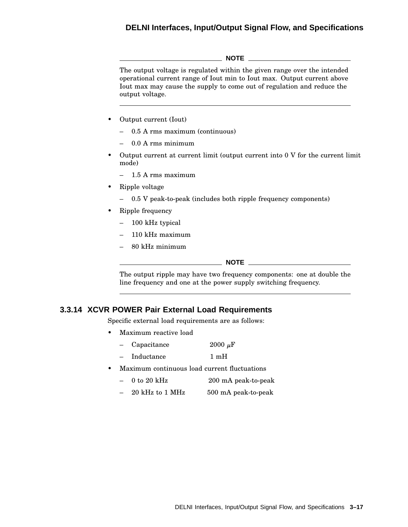#### **DELNI Interfaces, Input/Output Signal Flow, and Specifications**

**NOTE** The output voltage is regulated within the given range over the intended operational current range of Iout min to Iout max. Output current above Iout max may cause the supply to come out of regulation and reduce the output voltage.

- Output current (Iout)
	- 0.5 A rms maximum (continuous)
	- 0.0 A rms minimum
- Output current at current limit (output current into 0 V for the current limit mode)
	- 1.5 A rms maximum
- Ripple voltage
	- 0.5 V peak-to-peak (includes both ripple frequency components)
- Ripple frequency
	- 100 kHz typical
	- 110 kHz maximum
	- 80 kHz minimum

\_\_\_\_\_\_\_\_\_\_\_\_\_\_ NOTE \_\_\_\_\_\_\_\_\_\_

The output ripple may have two frequency components: one at double the line frequency and one at the power supply switching frequency.

#### **3.3.14 XCVR POWER Pair External Load Requirements**

Specific external load requirements are as follows:

- Maximum reactive load
	- $-$  Capacitance 2000  $\mu$ F
	- Inductance 1 mH
- Maximum continuous load current fluctuations
	- 0 to 20 kHz 200 mA peak-to-peak
	- $-$  20 kHz to 1 MHz  $500$  mA peak-to-peak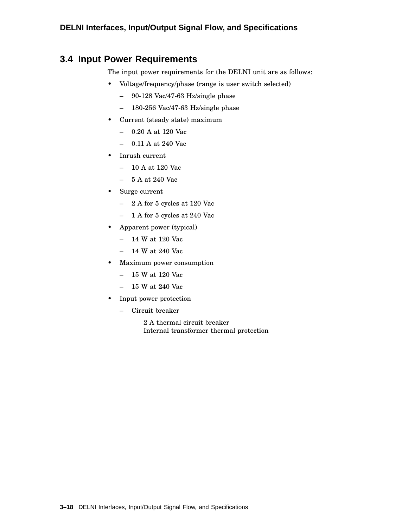## **3.4 Input Power Requirements**

The input power requirements for the DELNI unit are as follows:

- Voltage/frequency/phase (range is user switch selected)
	- 90-128 Vac/47-63 Hz/single phase
	- 180-256 Vac/47-63 Hz/single phase
- Current (steady state) maximum
	- 0.20 A at 120 Vac
	- 0.11 A at 240 Vac
- Inrush current
	- 10 A at 120 Vac
	- 5 A at 240 Vac
- Surge current
	- 2 A for 5 cycles at 120 Vac
	- 1 A for 5 cycles at 240 Vac
- Apparent power (typical)
	- 14 W at 120 Vac
	- 14 W at 240 Vac
- Maximum power consumption
	- 15 W at 120 Vac
	- 15 W at 240 Vac
- Input power protection
	- Circuit breaker
		- 2 A thermal circuit breaker Internal transformer thermal protection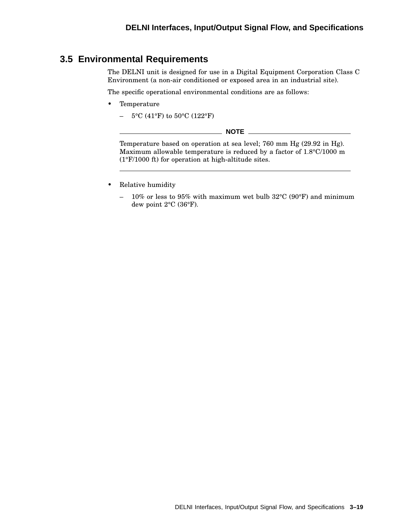## **3.5 Environmental Requirements**

The DELNI unit is designed for use in a Digital Equipment Corporation Class C Environment (a non-air conditioned or exposed area in an industrial site).

The specific operational environmental conditions are as follows:

- Temperature
	- 5°C (41°F) to 50°C (122°F)

| <b>NOTE</b>                                                                   |  |
|-------------------------------------------------------------------------------|--|
|                                                                               |  |
| Temperature based on operation at sea level; 760 mm Hg (29.92 in Hg).         |  |
| Maximum allowable temperature is reduced by a factor of $1.8^{\circ}C/1000$ m |  |
| $(1^{\circ}F/1000)$ ft) for operation at high-altitude sites.                 |  |

- Relative humidity
	- 10% or less to 95% with maximum wet bulb 32°C (90°F) and minimum dew point 2°C (36°F).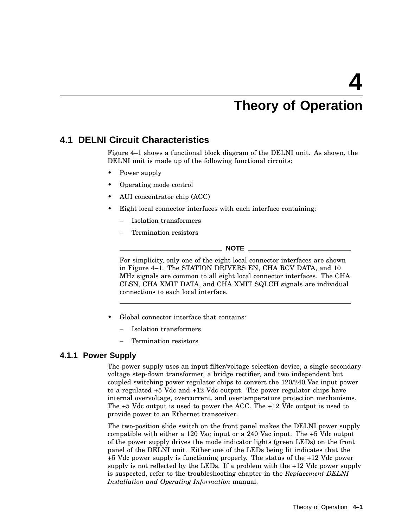# **Theory of Operation**

## **4.1 DELNI Circuit Characteristics**

Figure 4–1 shows a functional block diagram of the DELNI unit. As shown, the DELNI unit is made up of the following functional circuits:

- Power supply
- Operating mode control
- AUI concentrator chip (ACC)
- Eight local connector interfaces with each interface containing:
	- Isolation transformers
	- Termination resistors

**NOTE**

For simplicity, only one of the eight local connector interfaces are shown in Figure 4–1. The STATION DRIVERS EN, CHA RCV DATA, and 10 MHz signals are common to all eight local connector interfaces. The CHA CLSN, CHA XMIT DATA, and CHA XMIT SQLCH signals are individual connections to each local interface.

- Global connector interface that contains:
	- Isolation transformers
	- Termination resistors

#### **4.1.1 Power Supply**

The power supply uses an input filter/voltage selection device, a single secondary voltage step-down transformer, a bridge rectifier, and two independent but coupled switching power regulator chips to convert the 120/240 Vac input power to a regulated +5 Vdc and +12 Vdc output. The power regulator chips have internal overvoltage, overcurrent, and overtemperature protection mechanisms. The +5 Vdc output is used to power the ACC. The +12 Vdc output is used to provide power to an Ethernet transceiver.

The two-position slide switch on the front panel makes the DELNI power supply compatible with either a 120 Vac input or a 240 Vac input. The +5 Vdc output of the power supply drives the mode indicator lights (green LEDs) on the front panel of the DELNI unit. Either one of the LEDs being lit indicates that the +5 Vdc power supply is functioning properly. The status of the +12 Vdc power supply is not reflected by the LEDs. If a problem with the +12 Vdc power supply is suspected, refer to the troubleshooting chapter in the *Replacement DELNI Installation and Operating Information* manual.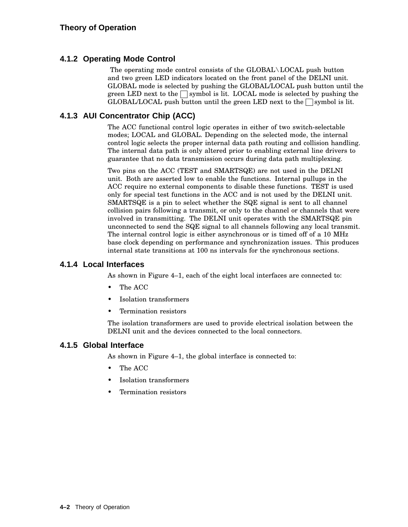#### **4.1.2 Operating Mode Control**

The operating mode control consists of the GLOBAL\LOCAL push button and two green LED indicators located on the front panel of the DELNI unit. GLOBAL mode is selected by pushing the GLOBAL/LOCAL push button until the green LED next to the  $\Box$  symbol is lit. LOCAL mode is selected by pushing the GLOBAL/LOCAL push button until the green LED next to the symbol is lit.

#### **4.1.3 AUI Concentrator Chip (ACC)**

The ACC functional control logic operates in either of two switch-selectable modes; LOCAL and GLOBAL. Depending on the selected mode, the internal control logic selects the proper internal data path routing and collision handling. The internal data path is only altered prior to enabling external line drivers to guarantee that no data transmission occurs during data path multiplexing.

Two pins on the ACC (TEST and SMARTSQE) are not used in the DELNI unit. Both are asserted low to enable the functions. Internal pullups in the ACC require no external components to disable these functions. TEST is used only for special test functions in the ACC and is not used by the DELNI unit. SMARTSQE is a pin to select whether the SQE signal is sent to all channel collision pairs following a transmit, or only to the channel or channels that were involved in transmitting. The DELNI unit operates with the SMARTSQE pin unconnected to send the SQE signal to all channels following any local transmit. The internal control logic is either asynchronous or is timed off of a 10 MHz base clock depending on performance and synchronization issues. This produces internal state transitions at 100 ns intervals for the synchronous sections.

#### **4.1.4 Local Interfaces**

As shown in Figure 4–1, each of the eight local interfaces are connected to:

- The ACC
- Isolation transformers
- Termination resistors

The isolation transformers are used to provide electrical isolation between the DELNI unit and the devices connected to the local connectors.

#### **4.1.5 Global Interface**

As shown in Figure 4–1, the global interface is connected to:

- The ACC
- Isolation transformers
- Termination resistors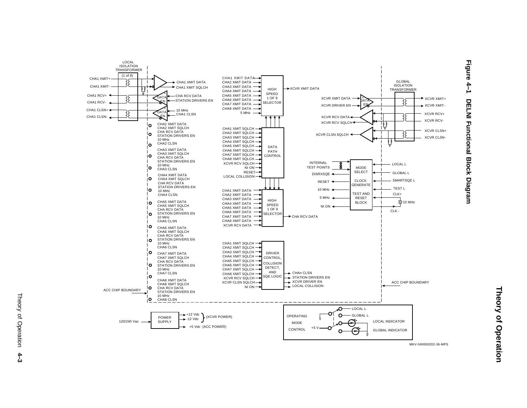

**Figure 4–1 DELNI Functional Block Diagram**

MKV-040000202-36-MPS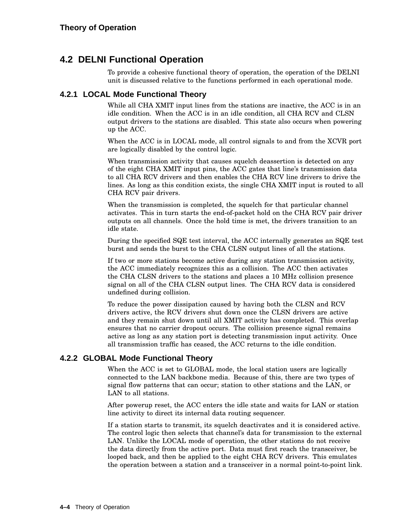## **4.2 DELNI Functional Operation**

To provide a cohesive functional theory of operation, the operation of the DELNI unit is discussed relative to the functions performed in each operational mode.

#### **4.2.1 LOCAL Mode Functional Theory**

While all CHA XMIT input lines from the stations are inactive, the ACC is in an idle condition. When the ACC is in an idle condition, all CHA RCV and CLSN output drivers to the stations are disabled. This state also occurs when powering up the ACC.

When the ACC is in LOCAL mode, all control signals to and from the XCVR port are logically disabled by the control logic.

When transmission activity that causes squelch deassertion is detected on any of the eight CHA XMIT input pins, the ACC gates that line's transmission data to all CHA RCV drivers and then enables the CHA RCV line drivers to drive the lines. As long as this condition exists, the single CHA XMIT input is routed to all CHA RCV pair drivers.

When the transmission is completed, the squelch for that particular channel activates. This in turn starts the end-of-packet hold on the CHA RCV pair driver outputs on all channels. Once the hold time is met, the drivers transition to an idle state.

During the specified SQE test interval, the ACC internally generates an SQE test burst and sends the burst to the CHA CLSN output lines of all the stations.

If two or more stations become active during any station transmission activity, the ACC immediately recognizes this as a collision. The ACC then activates the CHA CLSN drivers to the stations and places a 10 MHz collision presence signal on all of the CHA CLSN output lines. The CHA RCV data is considered undefined during collision.

To reduce the power dissipation caused by having both the CLSN and RCV drivers active, the RCV drivers shut down once the CLSN drivers are active and they remain shut down until all XMIT activity has completed. This overlap ensures that no carrier dropout occurs. The collision presence signal remains active as long as any station port is detecting transmission input activity. Once all transmission traffic has ceased, the ACC returns to the idle condition.

#### **4.2.2 GLOBAL Mode Functional Theory**

When the ACC is set to GLOBAL mode, the local station users are logically connected to the LAN backbone media. Because of this, there are two types of signal flow patterns that can occur; station to other stations and the LAN, or LAN to all stations.

After powerup reset, the ACC enters the idle state and waits for LAN or station line activity to direct its internal data routing sequencer.

If a station starts to transmit, its squelch deactivates and it is considered active. The control logic then selects that channel's data for transmission to the external LAN. Unlike the LOCAL mode of operation, the other stations do not receive the data directly from the active port. Data must first reach the transceiver, be looped back, and then be applied to the eight CHA RCV drivers. This emulates the operation between a station and a transceiver in a normal point-to-point link.